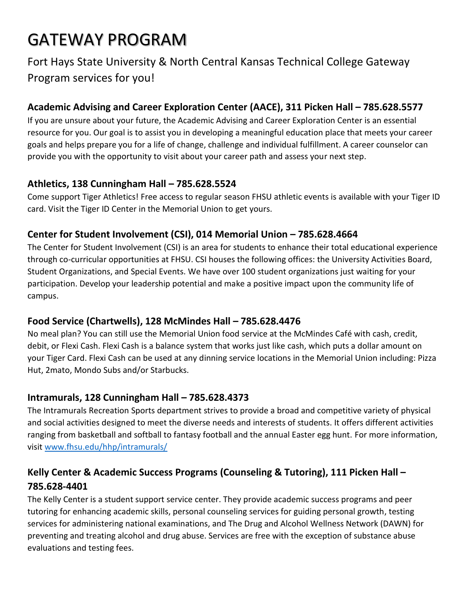# GATEWAY PROGRAM

# Fort Hays State University & North Central Kansas Technical College Gateway Program services for you!

# **Academic Advising and Career Exploration Center (AACE), 311 Picken Hall – 785.628.5577**

If you are unsure about your future, the Academic Advising and Career Exploration Center is an essential resource for you. Our goal is to assist you in developing a meaningful education place that meets your career goals and helps prepare you for a life of change, challenge and individual fulfillment. A career counselor can provide you with the opportunity to visit about your career path and assess your next step.

#### **Athletics, 138 Cunningham Hall – 785.628.5524**

Come support Tiger Athletics! Free access to regular season FHSU athletic events is available with your Tiger ID card. Visit the Tiger ID Center in the Memorial Union to get yours.

#### **Center for Student Involvement (CSI), 014 Memorial Union – 785.628.4664**

The Center for Student Involvement (CSI) is an area for students to enhance their total educational experience through co-curricular opportunities at FHSU. CSI houses the following offices: the University Activities Board, Student Organizations, and Special Events. We have over 100 student organizations just waiting for your participation. Develop your leadership potential and make a positive impact upon the community life of campus.

## **Food Service (Chartwells), 128 McMindes Hall – 785.628.4476**

No meal plan? You can still use the Memorial Union food service at the McMindes Café with cash, credit, debit, or Flexi Cash. Flexi Cash is a balance system that works just like cash, which puts a dollar amount on your Tiger Card. Flexi Cash can be used at any dinning service locations in the Memorial Union including: Pizza Hut, 2mato, Mondo Subs and/or Starbucks.

## **Intramurals, 128 Cunningham Hall – 785.628.4373**

The Intramurals Recreation Sports department strives to provide a broad and competitive variety of physical and social activities designed to meet the diverse needs and interests of students. It offers different activities ranging from basketball and softball to fantasy football and the annual Easter egg hunt. For more information, visit [www.fhsu.edu/hhp/intramurals/](http://www.fhsu.edu/hhp/intramurals/)

# **Kelly Center & Academic Success Programs (Counseling & Tutoring), 111 Picken Hall – 785.628-4401**

The Kelly Center is a student support service center. They provide academic success programs and peer tutoring for enhancing academic skills, personal counseling services for guiding personal growth, testing services for administering national examinations, and The Drug and Alcohol Wellness Network (DAWN) for preventing and treating alcohol and drug abuse. Services are free with the exception of substance abuse evaluations and testing fees.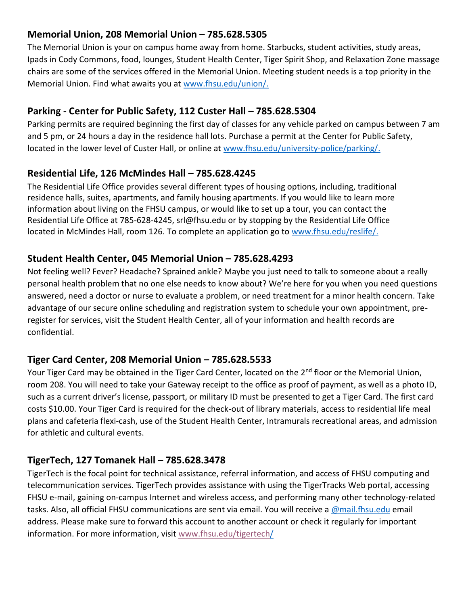#### **Memorial Union, 208 Memorial Union – 785.628.5305**

The Memorial Union is your on campus home away from home. Starbucks, student activities, study areas, Ipads in Cody Commons, food, lounges, Student Health Center, Tiger Spirit Shop, and Relaxation Zone massage chairs are some of the services offered in the Memorial Union. Meeting student needs is a top priority in the Memorial Union. Find what awaits you at [www.fhsu.edu/union/.](http://www.fhsu.edu/union/)

#### **Parking - Center for Public Safety, 112 Custer Hall – 785.628.5304**

Parking permits are required beginning the first day of classes for any vehicle parked on campus between 7 am and 5 pm, or 24 hours a day in the residence hall lots. Purchase a permit at the Center for Public Safety, located in the lower level of Custer Hall, or online at [www.fhsu.edu/university-police/parking/.](http://www.fhsu.edu/university-police/parking/)

#### **Residential Life, 126 McMindes Hall – 785.628.4245**

The Residential Life Office provides several different types of housing options, including, traditional residence halls, suites, apartments, and family housing apartments. If you would like to learn more information about living on the FHSU campus, or would like to set up a tour, you can contact the Residential Life Office at 785-628-4245, srl@fhsu.edu or by stopping by the Residential Life Office located in McMindes Hall, room 126. To complete an application go to [www.fhsu.edu/reslife/.](http://www.fhsu.edu/reslife/)

#### **Student Health Center, 045 Memorial Union – 785.628.4293**

Not feeling well? Fever? Headache? Sprained ankle? Maybe you just need to talk to someone about a really personal health problem that no one else needs to know about? We're here for you when you need questions answered, need a doctor or nurse to evaluate a problem, or need treatment for a minor health concern. Take advantage of our secure online scheduling and registration system to schedule your own appointment, preregister for services, visit the Student Health Center, all of your information and health records are confidential.

#### **Tiger Card Center, 208 Memorial Union – 785.628.5533**

Your Tiger Card may be obtained in the Tiger Card Center, located on the 2<sup>nd</sup> floor or the Memorial Union, room 208. You will need to take your Gateway receipt to the office as proof of payment, as well as a photo ID, such as a current driver's license, passport, or military ID must be presented to get a Tiger Card. The first card costs \$10.00. Your Tiger Card is required for the check-out of library materials, access to residential life meal plans and cafeteria flexi-cash, use of the Student Health Center, Intramurals recreational areas, and admission for athletic and cultural events.

#### **TigerTech, 127 Tomanek Hall – 785.628.3478**

TigerTech is the focal point for technical assistance, referral information, and access of FHSU computing and telecommunication services. TigerTech provides assistance with using the TigerTracks Web portal, accessing FHSU e-mail, gaining on-campus Internet and wireless access, and performing many other technology-related tasks. Also, all official FHSU communications are sent via email. You will receive a [@mail.fhsu.edu](mailto:fhsu.mail@fhsu.edu) email address. Please make sure to forward this account to another account or check it regularly for important information. For more information, visit [www.fhsu.edu/tigertech/](http://www.fhsu.edu/tigertech)